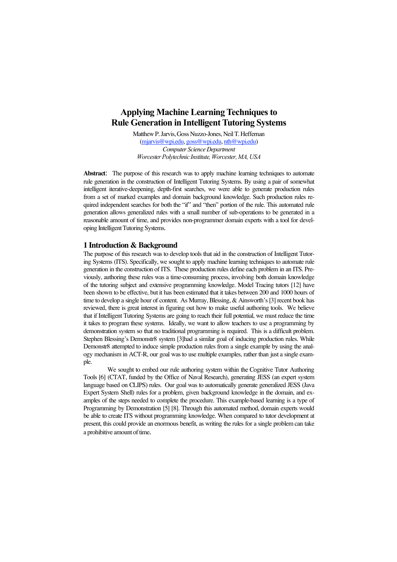# Applying Machine Learning Techniques to Rule Generation in Intelligent Tutoring Systems

Matthew P. Jarvis, Goss Nuzzo-Jones, Neil T. Heffernan (mjarvis@wpi.edu, goss@wpi.edu, nth@wpi.edu) *Computer ScienceDepartment WorcesterPolytechnic Institute, Worcester,MA,USA*

**Abstract**: The purpose of this research was to apply machine learning techniques to automate rule generation in the construction of Intelligent Tutoring Systems. By using a pair of somewhat intelligent iterative-deepening, depth-first searches, we were able to generate production rules from a set of marked examples and domain background knowledge. Such production rules required independent searches for both the "if" and "then" portion of the rule. This automated rule generation allows generalized rules with a small number of sub-operations to be generated in a reasonable amount of time, and provides non-programmer domain experts with a tool for developing Intelligent Tutoring Systems.

### **1 Introduction & Background**

The purpose of this research was to develop tools that aid in the construction of Intelligent Tutoring Systems (ITS). Specifically, we sought to apply machine learning techniques to automate rule generation in the construction of ITS. These production rules define each problem in an ITS. Previously, authoring these rules was a time-consuming process, involving both domain knowledge of the tutoring subject and extensive programming knowledge. Model Tracing tutors [12] have been shown to be effective, but it has been estimated that it takes between 200 and 1000 hours of time to develop a single hour of content. As Murray, Blessing, & Ainsworth's [3] recent book has reviewed, there is great interest in figuring out how to make useful authoring tools. We believe that if Intelligent Tutoring Systems are going to reach their full potential, we must reduce the time it takes to program these systems. Ideally, we want to allow teachers to use a programming by demonstration system so that no traditional programming is required. This is a difficult problem. Stephen Blessing's Demonstr8 system [3]had a similar goal of inducing production rules. While Demonstr8 attempted to induce simple production rules from a single example by using the analogy mechanism in ACT-R, our goal was to use multiple examples, rather than just a single example.

We sought to embed our rule authoring system within the Cognitive Tutor Authoring Tools [6] (CTAT, funded by the Office of Naval Research), generating JESS (an expert system language based on CLIPS) rules. Our goal was to automatically generate generalized JESS (Java Expert System Shell) rules for a problem, given background knowledge in the domain, and examples of the steps needed to complete the procedure. This example-based learning is a type of Programming by Demonstration [5] [8]. Through this automated method, domain experts would be able to create ITS without programming knowledge. When compared to tutor development at present, this could provide an enormous benefit, as writing the rules for a single problem can take a prohibitive amount of time.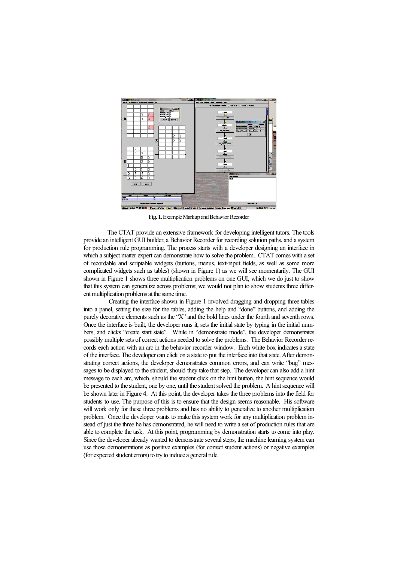

Fig. 1. Example Markup and Behavior Recorder

The CTAT provide an extensive framework for developing intelligent tutors. The tools provide an intelligent GUI builder, a Behavior Recorder for recording solution paths, and a system for production rule programming. The process starts with a developer designing an interface in which a subject matter expert can demonstrate how to solve the problem. CTAT comes with a set of recordable and scriptable widgets (buttons, menus, text-input fields, as well as some more complicated widgets such as tables) (shown in Figure 1) as we will see momentarily. The GUI shown in Figure 1 shows three multiplication problems on one GUI, which we do just to show that this system can generalize across problems; we would not plan to show students three different multiplication problems at the same time.

Creating the interface shown in Figure 1 involved dragging and dropping three tables into a panel, setting the size for the tables, adding the help and "done" buttons, and adding the purely decorative elements such as the "X" and the bold lines under the fourth and seventh rows. Once the interface is built, the developer runs it, sets the initial state by typing in the initial numbers, and clicks "create start state". While in "demonstrate mode", the developer demonstrates possibly multiple sets of correct actions needed to solve the problems. The Behavior Recorder records each action with an arc in the behavior recorder window. Each white box indicates a state of the interface. The developer can click on a state to put the interface into that state. After demonstrating correct actions, the developer demonstrates common errors, and can write "bug" messages to be displayed to the student, should they take that step. The developer can also add a hint message to each arc, which, should the student click on the hint button, the hint sequence would be presented to the student, one by one, until the student solved the problem. A hint sequence will be shown later in Figure 4. At this point, the developer takes the three problems into the field for students to use. The purpose of this is to ensure that the design seems reasonable. His software will work only for these three problems and has no ability to generalize to another multiplication problem. Once the developer wants to make this system work for any multiplication problem instead of just the three he has demonstrated, he will need to write a set of production rules that are able to complete the task. At this point, programming by demonstration starts to come into play. Since the developer already wanted to demonstrate several steps, the machine learning system can use those demonstrations as positive examples (for correct student actions) or negative examples (for expected student errors) to try to induce a general rule.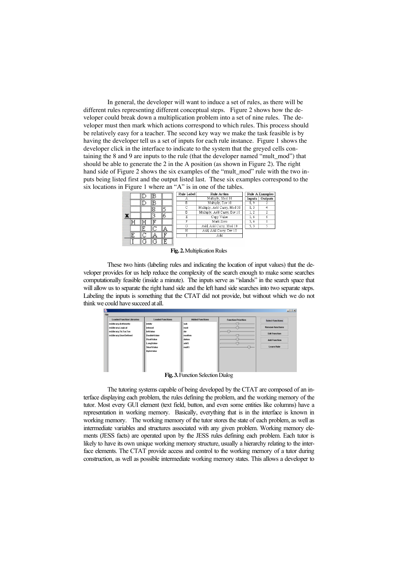In general, the developer will want to induce a set of rules, as there will be different rules representing different conceptual steps. Figure 2 shows how the developer could break down a multiplication problem into a set of nine rules. The developer must then mark which actions correspond to which rules. This process should be relatively easy for a teacher. The second key way we make the task feasible is by having the developer tell us a set of inputs for each rule instance. Figure 1 shows the developer click in the interface to indicate to the system that the greyed cells containing the 8 and 9 are inputs to the rule (that the developer named "mult\_mod") that should be able to generate the 2 in the A position (as shown in Figure 2). The right hand side of Figure 2 shows the six examples of the "mult\_mod" rule with the two inputs being listed first and the output listed last. These six examples correspond to the six locations in Figure 1 where an "A" is in one of the tables.

|   |    |    | Rule Label     | Rule Action                 |        | <b>Rule A Examples</b> |
|---|----|----|----------------|-----------------------------|--------|------------------------|
|   |    |    |                | Multiply, Mod 10            | Inputs | Outputs                |
|   | D  |    | B              | Multiply, Div 10            | 8.9    |                        |
|   |    |    | $\overline{c}$ | Multiply, Add Carry, Mod 10 | 8.3    | 4                      |
|   |    |    |                | Multiply, Add Carry, Div 10 | 1, 2   |                        |
|   |    |    | E              | Copy Value                  | 1, 6   | ń                      |
| Η | ΙH |    |                | Mark Zero                   | 5, 6   | n                      |
|   | Ε  | ۱A | G              | Add, Add Carry, Mod 10      | 5, 3   |                        |
|   |    |    | Η              | Add, Add Carry, Div 10      |        |                        |
| Ε | С  | F  |                | Add                         |        |                        |
|   |    | ΙF |                |                             |        |                        |

#### Fig. 2. Multiplication Rules

These two hints (labeling rules and indicating the location of input values) that the developer provides for us help reduce the complexity of the search enough to make some searches computationally feasible (inside a minute). The inputs serve as "islands" in the search space that will allow us to separate the right hand side and the left hand side searches into two separate steps. Labeling the inputs is something that the CTAT did not provide, but without which we do not think we could have succeed at all.

| <b>Loaded Function Libraries</b> | <b>Loaded Functions</b> | <b>Added Functions</b> | <b>Function Priorities</b> |                         |
|----------------------------------|-------------------------|------------------------|----------------------------|-------------------------|
| ml.library.Arithmetic            | intdiv                  | sub                    | 555                        | <b>Select functions</b> |
| ml.library.Logical               | intmod                  | mod                    | 88                         | <b>Remove functions</b> |
| ml.library.TicTacToe             | <b>IntValue</b>         | div                    | ☞                          |                         |
| ml.library.UserDefined           | <b>DoubleValue</b>      | modten                 | ł23                        | <b>Edit Function</b>    |
|                                  | <b>FloatValue</b>       | dMen                   | œ                          | <b>Add Function</b>     |
|                                  | LongValue               | add\$                  | 66                         |                         |
|                                  | ShortValue              | mult\$                 | 422)                       | Learn Rule              |
|                                  | <b>ByteValue</b>        |                        |                            |                         |
|                                  |                         |                        |                            |                         |
|                                  |                         |                        |                            |                         |
|                                  |                         |                        |                            |                         |
|                                  |                         |                        |                            |                         |

#### **Fig.** 3. Function Selection Dialog

The tutoring systems capable of being developed by the CTAT are composed of an interface displaying each problem, the rules defining the problem, and the working memory of the tutor. Most every GUI element (text field, button, and even some entities like columns) have a representation in working memory. Basically, everything that is in the interface is known in working memory. The working memory of the tutor stores the state of each problem, as well as intermediate variables and structures associated with any given problem. Working memory elements (JESS facts) are operated upon by the JESS rules defining each problem. Each tutor is likely to have its own unique working memory structure, usually a hierarchy relating to the interface elements. The CTAT provide access and control to the working memory of a tutor during construction, as well as possible intermediate working memory states. This allows a developer to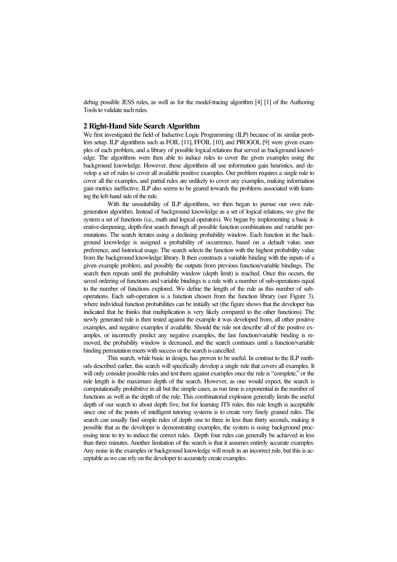debug possible JESS rules, as well as for the model-tracing algorithm [4] [1] of the Authoring Tools to validate such rules.

### 2 Right-Hand Side Search Algorithm

We first investigated the field of Inductive Logic Programming (ILP) because of its similar problem setup. ILP algorithms such as FOIL [11], FFOIL [10], and PROGOL [9] were given examples of each problem, and a library of possible logical relations that served as background knowledge. The algorithms were then able to induce rules to cover the given examples using the background knowledge. However, these algorithms all use information gain heuristics, and develop a set of rules to cover all available positive examples. Our problem requires a single rule to cover all the examples, and partial rules are unlikely to cover any examples, making information gain metrics ineffective. ILP also seems to be geared towards the problems associated with learning the left-hand side of the rule.

With the unsuitability of ILP algorithms, we then began to pursue our own rulegeneration algorithm. Instead of background knowledge as a set of logical relations, we give the system a set of functions (i.e., math and logical operators). We began by implementing a basic iterative-deepening, depth-first search through all possible function combinations and variable permutations. The search iterates using a declining probability window. Each function in the background knowledge is assigned a probability of occurrence, based on a default value, user preference, and historical usage. The search selects the function with the highest probability value from the background knowledge library. It then constructs a variable binding with the inputs of a given example problem, and possibly the outputs from previous function/variable bindings. The search then repeats until the probability window (depth limit) is reached. Once this occurs, the saved ordering of functions and variable bindings is a rule with a number of sub-operations equal to the number of functions explored. We define the length of the rule as this number of suboperations. Each sub-operation is a function chosen from the function library (see Figure 3), where individual function probabilities can be initially set (the figure shows that the developer has indicated that he thinks that multiplication is very likely compared to the other functions). The newly generated rule is then tested against the example it was developed from, all other positive examples, and negative examples if available. Should the rule not describe all of the positive examples, or incorrectly predict any negative examples, the last function/variable binding is removed, the probability window is decreased, and the search continues until a function/variable binding permutation meets with success or the search is cancelled.

This search, while basic in design, has proven to be useful. In contrast to the ILP methods described earlier, this search will specifically develop a single rule that covers all examples. It will only consider possible rules and test them against examples once the rule is "complete," or the rule length is the maximum depth of the search. However, as one would expect, the search is computationally prohibitive in all but the simple cases, as run time is exponential in the number of functions as well as the depth of the rule. This combinatorial explosion generally limits the useful depth of our search to about depth five, but for learning ITS rules, this rule length is acceptable since one of the points of intelligent tutoring systems is to create very finely grained rules. The search can usually find simple rules of depth one to three in less than thirty seconds, making it possible that as the developer is demonstrating examples, the system is using background processing time to try to induce the correct rules. Depth four rules can generally be achieved in less than three minutes. Another limitation of the search is that it assumes entirely accurate examples. Any noise in the examples or background knowledge willresult in an incorrect rule, but this is acceptable as we can rely on the developer to accurately create examples.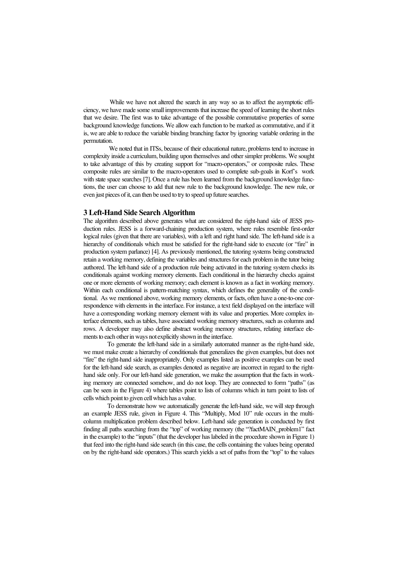While we have not altered the search in any way so as to affect the asymptotic efficiency, we have made some smallimprovements that increase the speed of learning the shortrules that we desire. The first was to take advantage of the possible commutative properties of some background knowledge functions. We allow each function to be marked as commutative, and if it is, we are able to reduce the variable binding branching factor by ignoring variable ordering in the permutation.

We noted that in ITSs, because of their educational nature, problems tend to increase in complexity inside a curriculum, building upon themselves and other simpler problems. We sought to take advantage of this by creating support for "macro-operators," or composite rules. These composite rules are similar to the macro-operators used to complete sub-goals in Korf's work with state space searches [7]. Once a rule has been learned from the background knowledge functions, the user can choose to add that new rule to the background knowledge. The new rule, or even just pieces of it, can then be used to try to speed up future searches.

### 3 Left-Hand Side Search Algorithm

The algorithm described above generates what are considered the right-hand side of JESS production rules. JESS is a forward-chaining production system, where rules resemble first-order logical rules (given that there are variables), with a left and right hand side. The left-hand side is a hierarchy of conditionals which must be satisfied for the right-hand side to execute (or "fire" in production system parlance) [4]. As previously mentioned, the tutoring systems being constructed retain a working memory, defining the variables and structures for each problem in the tutor being authored. The left-hand side of a production rule being activated in the tutoring system checks its conditionals against working memory elements. Each conditional in the hierarchy checks against one or more elements of working memory; each element is known as a fact in working memory. Within each conditional is pattern-matching syntax, which defines the generality of the conditional. As we mentioned above, working memory elements, or facts, often have a one-to-one correspondence with elements in the interface. For instance, a text field displayed on the interface will have a corresponding working memory element with its value and properties. More complex interface elements, such as tables, have associated working memory structures, such as columns and rows. A developer may also define abstract working memory structures, relating interface elements to each other in ways not explicitly shown in the interface.

To generate the left-hand side in a similarly automated manner as the right-hand side, we must make create a hierarchy of conditionals that generalizes the given examples, but does not "fire" the right-hand side inappropriately. Only examples listed as positive examples can be used for the left-hand side search, as examples denoted as negative are incorrect in regard to the righthand side only. For our left-hand side generation, we make the assumption that the facts in working memory are connected somehow, and do not loop. They are connected to form "paths" (as can be seen in the Figure 4) where tables point to lists of columns which in turn point to lists of cells which point to given cell which has a value.

To demonstrate how we automatically generate the left-hand side, we will step through an example JESS rule, given in Figure 4. This "Multiply, Mod 10" rule occurs in the multicolumn multiplication problem described below. Left-hand side generation is conducted by first finding all paths searching from the "top" of working memory (the "?factMAIN\_problem1" fact in the example) to the "inputs" (that the developer haslabeled in the procedure shown in Figure 1) that feed into the right-hand side search (in this case, the cells containing the values being operated on by the right-hand side operators.) This search yields a set of paths from the "top" to the values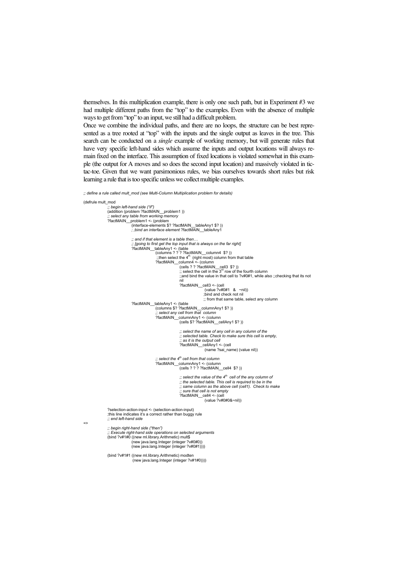themselves. In this multiplication example, there is only one such path, but in Experiment #3 we had multiple different paths from the "top" to the examples. Even with the absence of multiple ways to get from "top" to an input, we still had a difficult problem.

Once we combine the individual paths, and there are no loops, the structure can be best represented as a tree rooted at "top" with the inputs and the single output as leaves in the tree. This search can be conducted on a *single* example of working memory, but will generate rules that have very specific left-hand sides which assume the inputs and output locations will always remain fixed on the interface. This assumption of fixed locations is violated somewhat in this example (the output for A moves and so does the second input location) and massively violated in tictac-toe. Given that we want parsimonious rules, we bias ourselves towards short rules but risk learning a rule that is too specific unless we collect multiple examples.

*;; define a rule called mult\_mod (see Multi-Column Multiplication problem for details)*

=>

(defrule mult\_mod *;; begin left-hand side ("if")* (addition (problem ?factMAIN\_problem1 )) *;; select any table from working memory* ?factMAIN\_\_problem1 <- (problem (interface-elements \$? ?factMAIN\_\_tableAny1 \$? )) *; ;bind an interface element* ?factMAIN\_\_tableAny1 *;; and if that element is a table then…* " [going to first get the top input that is always on the far right]<br>  $? \text{factMAIN} \quad \text{(solums 2? 2 (table) \quad \text{(right mass 3? 2)}$ <br>  $\text{(column s ? ? ? } \text{FactMAIN} \quad \text{(right most) column from that table}$ <br>  $? \text{factMAIN} \quad \text{(column <- (column) \quad \text{(column)} \quad \text{(column)} \quad \text{(column)} \quad \text{(column)} \quad \text{(column)} \quad \text{(cells ? ? } \text{(factMAIN} \quad \text{$ ;; select the cell in the 3<sup>rd</sup> row of the fourth column<br>;;and bind the value in that cell to ?v#0#1, while also ;;checking that its not nil ?factMAIN\_\_cell3 <- (cell (value ?v#0#1 & ~nil)) ;bind and check not nil ;; from that same table, select any column ?factMAIN\_\_tableAny1 <- (table (columns \$? ?factMAIN\_\_columnAny1 \$? )) *;; select any cell from that column* ?factMAIN\_\_columnAny1 <- (column (cells \$? ?factMAIN\_\_cellAny1 \$? )) *;; select the name of any cell in any column of the ;; selected table. Check to make sure this cell is empty, ;; as it is the output cell* ?factMAIN\_\_cellAny1 <- (cell (name ?sai\_name) (value nil)) *;; select the 4th cell from that column* ?factMAIN\_\_columnAny1 <- (column (cells ? ? ? ?factMAIN\_\_cell4 \$? )) *;; select the value of the 4th cell of the any column of ;; the selected table. This cell is required to be in the ;; same column as the above cell (cell1). Check to make ;; sure that cell is not empty* ?factMAIN\_\_cell4 <- (cell (value ?v#0#0&~nil)) ?selection-action-input <- (selection-action-input) ;this line indicates it's a correct rather than buggy rule *;; end left-hand side ;; begin right-hand side ("then") ;; Execute right-hand side operations on selected arguments* (bind ?v#1#0 ((new ml.library.Arithmetic) mult\$ (new java.lang.Integer (integer ?v#0#0)) (new java.lang.Integer (integer ?v#0#1)))) (bind ?v#1#1 ((new ml.library.Arithmetic) modten (new java.lang.Integer (integer ?v#1#0))))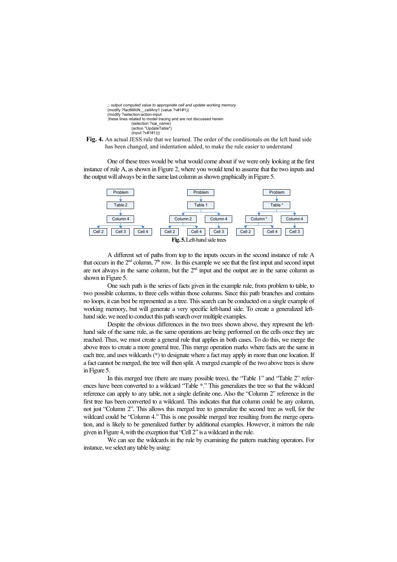```
;; output computed value to appropriate cell and update working memory
(modify ?factMAIN__cellAny1 (value ?v#1#1))
(modify ?selection-action-input
;these lines related to model tracing and are not discussed herein
              (selection ?sai_name)
              (action "UpdateTable")
               (input ?v#1#1)))
```


One of these trees would be what would come about if we were only looking at the first instance of rule A, as shown in Figure 2, where you would tend to assume that the two inputs and the output will always be in the same last column as shown graphically in Figure 5.



A different set of paths from top to the inputs occurs in the second instance of rule A that occurs in the  $2<sup>nd</sup>$  column,  $7<sup>th</sup>$  row. In this example we see that the first input and second input are not always in the same column, but the  $2<sup>nd</sup>$  input and the output are in the same column as shown in Figure 5.

One such path is the series of facts given in the example rule, from problem to table, to two possible columns, to three cells within those columns. Since this path branches and contains no loops, it can best be represented as a tree. This search can be conducted on a single example of working memory, but will generate a very specific left-hand side. To create a generalized lefthand side, we need to conduct this path search over multiple examples.

Despite the obvious differences in the two trees shown above, they represent the lefthand side of the same rule, as the same operations are being performed on the cells once they are reached. Thus, we must create a general rule that applies in both cases. To do this, we merge the above trees to create a more general tree. This merge operation marks where facts are the same in each tree, and uses wildcards (\*) to designate where a fact may apply in more than one location. If a fact cannot be merged, the tree will then split. A merged example of the two above treesis show in Figure 5.

In this merged tree (there are many possible trees), the "Table 1" and "Table 2" references have been converted to a wildcard "Table \*." This generalizes the tree so that the wildcard reference can apply to any table, not a single definite one. Also the "Column 2" reference in the first tree has been converted to a wildcard. This indicates that that column could be any column, not just "Column 2". This allows this merged tree to generalize the second tree as well, for the wildcard could be "Column 4." This is one possible merged tree resulting from the merge operation, and is likely to be generalized further by additional examples. However, it mirrors the rule given in Figure 4,with the exception that "Cell 2" is awildcard in the rule.

We can see the wildcards in the rule by examining the pattern matching operators. For instance,we select any table by using: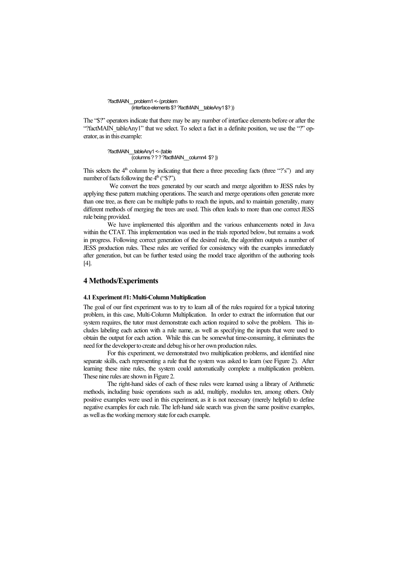?factMAIN\_\_problem1<-(problem (interface-elements\$? ?factMAIN\_\_tableAny1\$? ))

The "\$?" operatorsindicate that there may be any number of interface elements before or after the "?factMAIN\_tableAny1" that we select. To select a fact in a definite position, we use the "?" operator, as in this example:

> ?factMAIN\_\_tableAny1<-(table (columns? ? ? ?factMAIN\_\_column4 \$? ))

This selects the  $4<sup>th</sup>$  column by indicating that there a three preceding facts (three "?'s") and any number of facts following the  $4<sup>th</sup>$  ("\$?").

We convert the trees generated by our search and merge algorithm to JESS rules by applying these pattern matching operations. The search and merge operations often generate more than one tree, as there can be multiple paths to reach the inputs, and to maintain generality, many different methods of merging the trees are used. This often leads to more than one correct JESS rule being provided.

We have implemented this algorithm and the various enhancements noted in Java within the CTAT. This implementation was used in the trials reported below, but remains a work in progress. Following correct generation of the desired rule, the algorithm outputs a number of JESS production rules. These rules are verified for consistency with the examples immediately after generation, but can be further tested using the model trace algorithm of the authoring tools [4].

## 4 Methods/Experiments

#### 4.1 Experiment #1: Multi-Column Multiplication

The goal of our first experiment was to try to learn all of the rules required for a typical tutoring problem, in this case, Multi-Column Multiplication. In order to extract the information that our system requires, the tutor must demonstrate each action required to solve the problem. This includes labeling each action with a rule name, as well as specifying the inputs that were used to obtain the output for each action. While this can be somewhat time-consuming, it eliminates the need for the developer to create and debug his or her own production rules.

For this experiment, we demonstrated two multiplication problems, and identified nine separate skills, each representing a rule that the system was asked to learn (see Figure 2). After learning these nine rules, the system could automatically complete a multiplication problem. These nine rules are shown in Figure 2.

The right-hand sides of each of these rules were learned using a library of Arithmetic methods, including basic operations such as add, multiply, modulus ten, among others. Only positive examples were used in this experiment, as it is not necessary (merely helpful) to define negative examples for each rule. The left-hand side search was given the same positive examples, as well as the working memory state for each example.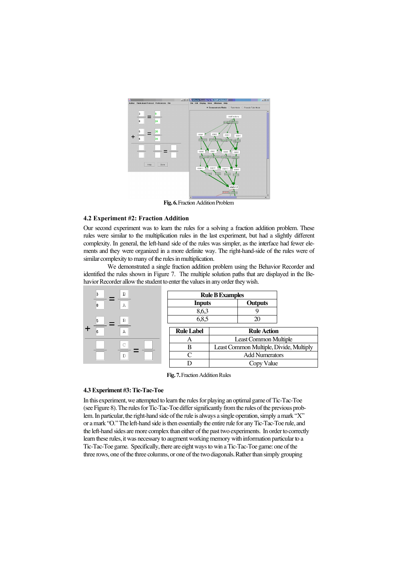

Fig. 6. Fraction Addition Problem

### 4.2 Experiment #2: Fraction Addition

Our second experiment was to learn the rules for a solving a fraction addition problem. These rules were similar to the multiplication rules in the last experiment, but had a slightly different complexity. In general, the left-hand side of the rules was simpler, as the interface had fewer elements and they were organized in a more definite way. The right-hand-side of the rules were of similar complexity to many of the rules in multiplication.

We demonstrated a single fraction addition problem using the Behavior Recorder and identified the rules shown in Figure 7. The multiple solution paths that are displayed in the Behavior Recorder allow the student to enter the values in any order they wish.



| <b>Rule B Examples</b> |    |                                         |  |
|------------------------|----|-----------------------------------------|--|
| <b>Inputs</b>          |    | <b>Outputs</b>                          |  |
| 8,6,3                  |    |                                         |  |
| 6,8,5                  | 20 |                                         |  |
| <b>Rule Label</b>      |    | <b>Rule Action</b>                      |  |
| Α                      |    | <b>Least Common Multiple</b>            |  |
| в                      |    | Least Common Multiple, Divide, Multiply |  |
| C                      |    | <b>Add Numerators</b>                   |  |
|                        |    | Copy Value                              |  |

Fig. 7. Fraction Addition Rules

#### 4.3Experiment #3:Tic-Tac-Toe

In this experiment, we attempted to learn the rules for playing an optimal game of Tic-Tac-Toe (see Figure 8). The rules for Tic-Tac-Toe differ significantly from the rules of the previous problem. In particular, the right-hand side of the rule is always a single operation, simply a mark "X" or a mark "O." The left-hand side is then essentially the entire rule for any Tic-Tac-Toe rule, and the left-hand sides are more complex than either of the past two experiments. In order to correctly learn these rules, it was necessary to augment working memory with information particular to a Tic-Tac-Toegame. Specifically, there are eightwaysto win aTic-Tac-Toegame: one ofthe three rows, one of the three columns, or one of the two diagonals. Rather than simply grouping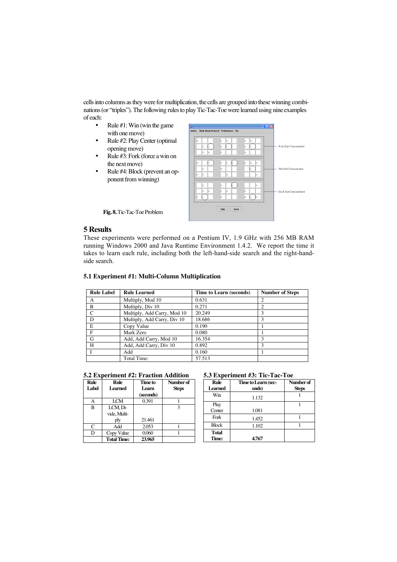cells into columns as they were for multiplication, the cells are grouped into these winning combinations(or "triples").The following rulesto play Tic-Tac-Toewere learned using nine examples of each:

- Rule #1: Win (win the game with one move)
- Rule #2: Play Center (optimal opening move)
- Rule #3: Fork (force a win on the next move)
- Rule #4:Block (prevent an opponent from winning)



Fig. 8. Tic-Tac-Toe Problem

### 5 Results

These experiments were performed on a Pentium IV, 1.9 GHz with 256 MB RAM running Windows 2000 and Java Runtime Environment 1.4.2. We report the time it takes to learn each rule, including both the left-hand-side search and the right-handside search.

### **5.1 Experiment #1: Multi-Column Multiplication**

| <b>Rule Label</b> | <b>Rule Learned</b>         | Time to Learn (seconds) | <b>Number of Steps</b> |
|-------------------|-----------------------------|-------------------------|------------------------|
| А                 | Multiply, Mod 10            | 0.631                   |                        |
| B                 | Multiply, Div 10            | 0.271                   |                        |
| C                 | Multiply, Add Carry, Mod 10 | 20.249                  |                        |
| D                 | Multiply, Add Carry, Div 10 | 18.686                  |                        |
| E                 | Copy Value                  | 0.190                   |                        |
| F                 | Mark Zero                   | 0.080                   |                        |
| G                 | Add, Add Carry, Mod 10      | 16.354                  | 3                      |
| H                 | Add, Add Carry, Div 10      | 0.892                   | 3                      |
|                   | Add                         | 0.160                   |                        |
|                   | Total Time:                 | 57.513                  |                        |

### **5.2 Experiment #2: Fraction Addition**

| <b>Rule</b> | <b>Rule</b>        | Time to      | Number of    |
|-------------|--------------------|--------------|--------------|
| Label       | <b>Learned</b>     | <b>Learn</b> | <b>Steps</b> |
|             |                    | (seconds)    |              |
|             | LCM                | 0.391        |              |
| B           | LCM, Di-           |              | 3            |
|             | vide, Multi-       |              |              |
|             | ply                | 21.461       |              |
| C           | Add                | 2.053        |              |
| D           | Copy Value         | 0.060        |              |
|             | <b>Total Time:</b> | 23.965       |              |

### **5.3 Experiment #3: Tic-Tac-Toe**

| <b>Rule</b><br>Learned | Time to Learn (sec-<br>onds) | Number of<br><b>Steps</b> |
|------------------------|------------------------------|---------------------------|
| Win                    | 1.132                        |                           |
| Play                   |                              |                           |
| Center                 | 1.081                        |                           |
| Fork                   | 1.452                        |                           |
| <b>Block</b>           | 1.102                        |                           |
| <b>Total</b>           |                              |                           |
| Time:                  | 4.767                        |                           |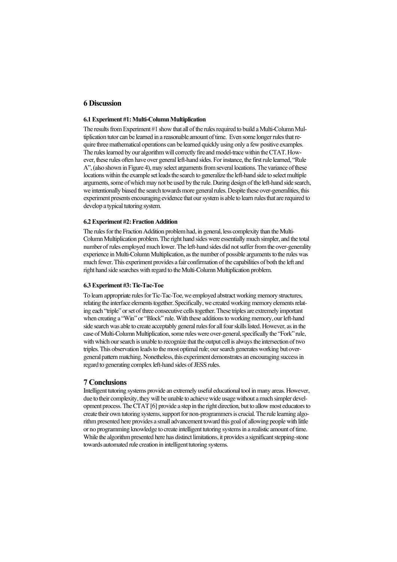### 6 Discussion

### 6.1 Experiment #1: Multi-Column Multiplication

The results from Experiment #1 show that all of the rules required to build a Multi-Column Multiplication tutor can be learned in a reasonable amount of time. Even some longer rules that require three mathematical operations can be learned quickly using only a few positive examples. The rules learned by our algorithm will correctly fire and model-trace within the CTAT. However, these rules often have over general left-hand sides. For instance, the first rule learned, "Rule A", (also shown in Figure 4), may select arguments from several locations. The variance of these locations within the example set leads the search to generalize the left-hand side to select multiple arguments, some of which may not be used by the rule. During design of the left-hand side search, we intentionally biased the search towards more general rules. Despite these over-generalities, this experiment presents encouraging evidence that oursystemis able to learn rulesthat are required to develop a typical tutoring system.

### 6.2Experiment #2:Fraction Addition

The rules for the Fraction Addition problem had, in general, less complexity than the Multi-Column Multiplication problem. The right hand sides were essentially much simpler, and the total number of rules employed much lower. The left-hand sides did not suffer from the over-generality experience in Multi-Column Multiplication, as the number of possible arguments to the rules was much fewer. This experiment provides a fair confirmation of the capabilities of both the left and right hand side searches with regard to theMulti-Column Multiplication problem.

#### 6.3Experiment #3:Tic-Tac-Toe

To learn appropriate rules for Tic-Tac-Toe, we employed abstract working memory structures, relating the interface elements together. Specifically, we created working memory elements relating each "triple" or set of three consecutive cells together. These triples are extremely important when creating a "Win" or "Block" rule. With these additions to working memory, our left-hand side search was able to create acceptably general rules for all four skills listed. However, as in the case of Multi-Column Multiplication, some rules were over-general, specifically the "Fork" rule, with which our search is unable to recognize that the output cell is always the intersection of two triples. This observation leads to the most optimal rule; our search generates working but overgeneral pattern matching. Nonetheless, this experiment demonstrates an encouraging success in regard to generating complex left-hand sides of JESS rules.

### 7 Conclusions

Intelligent tutoring systems provide an extremely useful educational tool in many areas. However, due to their complexity, they will be unable to achieve wide usage without a much simpler development process. The CTAT [6] provide a step in the right direction, but to allow most educators to create their own tutoring systems, support for non-programmers is crucial. The rule learning algorithm presented here provides a small advancement toward this goal of allowing people with little or no programming knowledge to create intelligenttutoring systemsin a realistic amount oftime. While the algorithm presented here has distinct limitations, it provides a significant stepping-stone towards automated rule creation in intelligent tutoring systems.